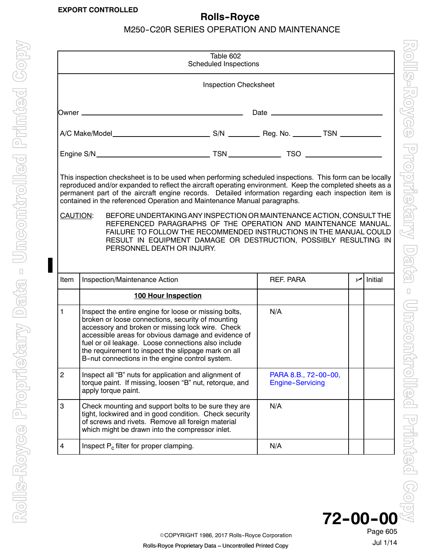П

# **Rolls--Royce**

#### M250--C20R SERIES OPERATION AND MAINTENANCE

<span id="page-0-0"></span>

|                | Table 602<br><b>Scheduled Inspections</b>                                                                                                                                                                                                                                                                                                                                                                 |                                                 |           |         |  |  |
|----------------|-----------------------------------------------------------------------------------------------------------------------------------------------------------------------------------------------------------------------------------------------------------------------------------------------------------------------------------------------------------------------------------------------------------|-------------------------------------------------|-----------|---------|--|--|
|                | <b>Inspection Checksheet</b>                                                                                                                                                                                                                                                                                                                                                                              |                                                 |           |         |  |  |
|                |                                                                                                                                                                                                                                                                                                                                                                                                           |                                                 |           |         |  |  |
|                |                                                                                                                                                                                                                                                                                                                                                                                                           |                                                 |           |         |  |  |
|                |                                                                                                                                                                                                                                                                                                                                                                                                           |                                                 |           |         |  |  |
|                | This inspection checksheet is to be used when performing scheduled inspections. This form can be locally<br>reproduced and/or expanded to reflect the aircraft operating environment. Keep the completed sheets as a<br>permanent part of the aircraft engine records. Detailed information regarding each inspection item is<br>contained in the referenced Operation and Maintenance Manual paragraphs. |                                                 |           |         |  |  |
|                | CAUTION:<br>BEFORE UNDERTAKING ANY INSPECTION OR MAINTENANCE ACTION, CONSULT THE<br>REFERENCED PARAGRAPHS OF THE OPERATION AND MAINTENANCE MANUAL.<br>FAILURE TO FOLLOW THE RECOMMENDED INSTRUCTIONS IN THE MANUAL COULD<br>RESULT IN EQUIPMENT DAMAGE OR DESTRUCTION, POSSIBLY RESULTING IN<br>PERSONNEL DEATH OR INJURY.                                                                                |                                                 |           |         |  |  |
| Item           | Inspection/Maintenance Action                                                                                                                                                                                                                                                                                                                                                                             | REF. PARA                                       | $\sqrt{}$ | Initial |  |  |
|                | 100 Hour Inspection                                                                                                                                                                                                                                                                                                                                                                                       |                                                 |           |         |  |  |
| $\mathbf{1}$   | Inspect the entire engine for loose or missing bolts,<br>broken or loose connections, security of mounting<br>accessory and broken or missing lock wire. Check<br>accessible areas for obvious damage and evidence of<br>fuel or oil leakage. Loose connections also include<br>the requirement to inspect the slippage mark on all<br>B-nut connections in the engine control system.                    | N/A                                             |           |         |  |  |
| $\overline{2}$ | Inspect all "B" nuts for application and alignment of<br>torque paint. If missing, loosen "B" nut, retorque, and<br>apply torque paint.                                                                                                                                                                                                                                                                   | PARA 8.B., 72-00-00,<br><b>Engine-Servicing</b> |           |         |  |  |
| 3              | Check mounting and support bolts to be sure they are<br>tight, lockwired and in good condition. Check security<br>of screws and rivets. Remove all foreign material<br>which might be drawn into the compressor inlet.                                                                                                                                                                                    | N/A                                             |           |         |  |  |
| 4              | Inspect P <sub>c</sub> filter for proper clamping.                                                                                                                                                                                                                                                                                                                                                        | N/A                                             |           |         |  |  |

**72--00--00**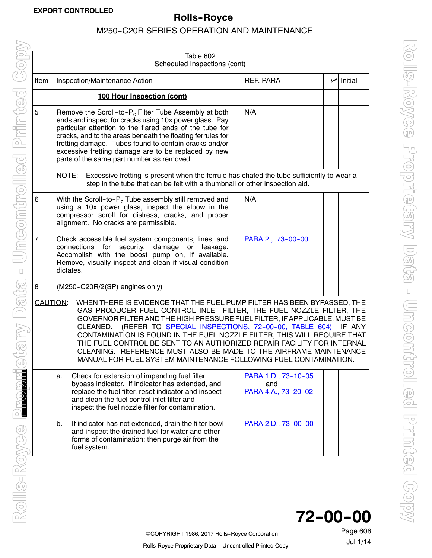### M250-C20R SERIES OPERATION AND MAINTENANCE

<span id="page-1-0"></span>

|                 | Table 602<br>Scheduled Inspections (cont)                                                                                                                                                                                                                                                                                                                                                                                                                                                                                                                                                            |                                                   |                              |
|-----------------|------------------------------------------------------------------------------------------------------------------------------------------------------------------------------------------------------------------------------------------------------------------------------------------------------------------------------------------------------------------------------------------------------------------------------------------------------------------------------------------------------------------------------------------------------------------------------------------------------|---------------------------------------------------|------------------------------|
| Item            | Inspection/Maintenance Action                                                                                                                                                                                                                                                                                                                                                                                                                                                                                                                                                                        | <b>REF. PARA</b>                                  | $\sqrt{\phantom{a}}$ Initial |
|                 | 100 Hour Inspection (cont)                                                                                                                                                                                                                                                                                                                                                                                                                                                                                                                                                                           |                                                   |                              |
| 5               | Remove the Scroll-to-P <sub>c</sub> Filter Tube Assembly at both<br>ends and inspect for cracks using 10x power glass. Pay<br>particular attention to the flared ends of the tube for<br>cracks, and to the areas beneath the floating ferrules for<br>fretting damage. Tubes found to contain cracks and/or<br>excessive fretting damage are to be replaced by new<br>parts of the same part number as removed.                                                                                                                                                                                     | N/A                                               |                              |
|                 | Excessive fretting is present when the ferrule has chafed the tube sufficiently to wear a<br><u>NOTE:</u><br>step in the tube that can be felt with a thumbnail or other inspection aid.                                                                                                                                                                                                                                                                                                                                                                                                             |                                                   |                              |
| 6               | With the Scroll-to-P <sub>c</sub> Tube assembly still removed and<br>using a 10x power glass, inspect the elbow in the<br>compressor scroll for distress, cracks, and proper<br>alignment. No cracks are permissible.                                                                                                                                                                                                                                                                                                                                                                                | N/A                                               |                              |
| $\overline{7}$  | Check accessible fuel system components, lines, and<br>connections for security,<br>damage or leakage.<br>Accomplish with the boost pump on, if available.<br>Remove, visually inspect and clean if visual condition<br>dictates.                                                                                                                                                                                                                                                                                                                                                                    | PARA 2., 73-00-00                                 |                              |
| 8               | (M250-C20R/2(SP) engines only)                                                                                                                                                                                                                                                                                                                                                                                                                                                                                                                                                                       |                                                   |                              |
| <b>CAUTION:</b> | WHEN THERE IS EVIDENCE THAT THE FUEL PUMP FILTER HAS BEEN BYPASSED, THE<br>GAS PRODUCER FUEL CONTROL INLET FILTER, THE FUEL NOZZLE FILTER, THE<br>GOVERNOR FILTER AND THE HIGH PRESSURE FUEL FILTER, IF APPLICABLE, MUST BE<br>(REFER TO SPECIAL INSPECTIONS, 72-00-00, TABLE 604) IF ANY<br>CLEANED.<br>CONTAMINATION IS FOUND IN THE FUEL NOZZLE FILTER, THIS WILL REQUIRE THAT<br>THE FUEL CONTROL BE SENT TO AN AUTHORIZED REPAIR FACILITY FOR INTERNAL<br>CLEANING. REFERENCE MUST ALSO BE MADE TO THE AIRFRAME MAINTENANCE<br>MANUAL FOR FUEL SYSTEM MAINTENANCE FOLLOWING FUEL CONTAMINATION. |                                                   |                              |
|                 | Check for extension of impending fuel filter<br>a.<br>bypass indicator. If indicator has extended, and<br>replace the fuel filter, reset indicator and inspect<br>and clean the fuel control inlet filter and<br>inspect the fuel nozzle filter for contamination.                                                                                                                                                                                                                                                                                                                                   | PARA 1.D., 73-10-05<br>and<br>PARA 4.A., 73-20-02 |                              |
|                 | If indicator has not extended, drain the filter bowl<br>b.<br>and inspect the drained fuel for water and other<br>forms of contamination; then purge air from the<br>fuel system.                                                                                                                                                                                                                                                                                                                                                                                                                    | PARA 2.D., 73-00-00                               |                              |

**72--00--00**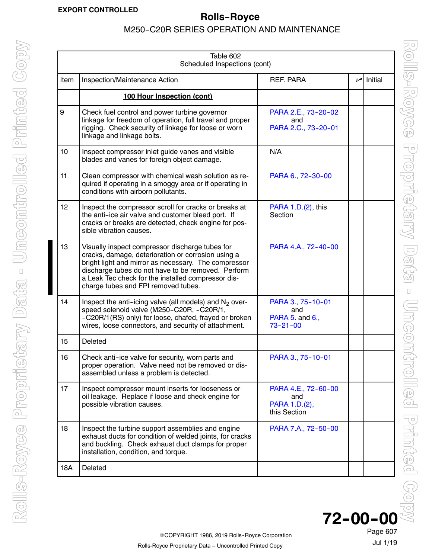### M250--C20R SERIES OPERATION AND MAINTENANCE

<span id="page-2-0"></span>

|                 | Table 602<br>Scheduled Inspections (cont)                                                                                                                                                                                                                                                                        |                                                               |     |         |
|-----------------|------------------------------------------------------------------------------------------------------------------------------------------------------------------------------------------------------------------------------------------------------------------------------------------------------------------|---------------------------------------------------------------|-----|---------|
| Item            | Inspection/Maintenance Action                                                                                                                                                                                                                                                                                    | <b>REF. PARA</b>                                              | اسم | Initial |
|                 | 100 Hour Inspection (cont)                                                                                                                                                                                                                                                                                       |                                                               |     |         |
| 9               | Check fuel control and power turbine governor<br>linkage for freedom of operation, full travel and proper<br>rigging. Check security of linkage for loose or worn<br>linkage and linkage bolts.                                                                                                                  | PARA 2.E., 73-20-02<br>and<br>PARA 2.C., 73-20-01             |     |         |
| 10              | Inspect compressor inlet guide vanes and visible<br>blades and vanes for foreign object damage.                                                                                                                                                                                                                  | N/A                                                           |     |         |
| 11              | Clean compressor with chemical wash solution as re-<br>quired if operating in a smoggy area or if operating in<br>conditions with airborn pollutants.                                                                                                                                                            | PARA 6., 72-30-00                                             |     |         |
| 12 <sub>2</sub> | Inspect the compressor scroll for cracks or breaks at<br>the anti-ice air valve and customer bleed port. If<br>cracks or breaks are detected, check engine for pos-<br>sible vibration causes.                                                                                                                   | PARA $1.D.(2)$ , this<br>Section                              |     |         |
| 13              | Visually inspect compressor discharge tubes for<br>cracks, damage, deterioration or corrosion using a<br>bright light and mirror as necessary. The compressor<br>discharge tubes do not have to be removed. Perform<br>a Leak Tec check for the installed compressor dis-<br>charge tubes and FPI removed tubes. | PARA 4.A., 72-40-00                                           |     |         |
| 14              | Inspect the anti-icing valve (all models) and $N2$ over-<br>speed solenoid valve (M250-C20R, -C20R/1,<br>-C20R/1(RS) only) for loose, chafed, frayed or broken<br>wires, loose connectors, and security of attachment.                                                                                           | PARA 3., 75-10-01<br>and<br>PARA 5. and 6.,<br>$73 - 21 - 00$ |     |         |
| 15              | Deleted                                                                                                                                                                                                                                                                                                          |                                                               |     |         |
| 16              | Check anti-ice valve for security, worn parts and<br>proper operation. Valve need not be removed or dis-<br>assembled unless a problem is detected.                                                                                                                                                              | PARA 3., 75-10-01                                             |     |         |
| 17              | Inspect compressor mount inserts for looseness or<br>oil leakage. Replace if loose and check engine for<br>possible vibration causes.                                                                                                                                                                            | PARA 4.E., 72-60-00<br>and<br>PARA 1.D.(2),<br>this Section   |     |         |
| 18              | Inspect the turbine support assemblies and engine<br>exhaust ducts for condition of welded joints, for cracks<br>and buckling. Check exhaust duct clamps for proper<br>installation, condition, and torque.                                                                                                      | PARA 7.A., 72-50-00                                           |     |         |
| 18A             | Deleted                                                                                                                                                                                                                                                                                                          |                                                               |     |         |

**72--00--00**

Page 607 Jul 1/19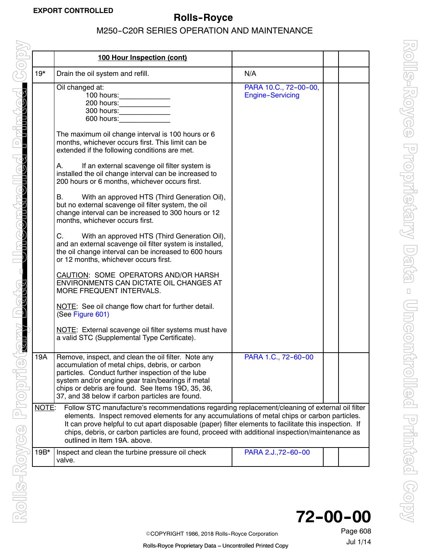# M250-C20R SERIES OPERATION AND MAINTENANCE

<span id="page-3-0"></span>

|        | 100 Hour Inspection (cont)                                                                                                                                                                                                                                                                                                                                                                                                                  |                                                  |  |
|--------|---------------------------------------------------------------------------------------------------------------------------------------------------------------------------------------------------------------------------------------------------------------------------------------------------------------------------------------------------------------------------------------------------------------------------------------------|--------------------------------------------------|--|
| $19*$  | Drain the oil system and refill.                                                                                                                                                                                                                                                                                                                                                                                                            | N/A                                              |  |
|        | Oil changed at:<br>100 hours:<br>200 hours:<br>300 hours:<br>600 hours:                                                                                                                                                                                                                                                                                                                                                                     | PARA 10.C., 72-00-00,<br><b>Engine-Servicing</b> |  |
|        | The maximum oil change interval is 100 hours or 6<br>months, whichever occurs first. This limit can be<br>extended if the following conditions are met.                                                                                                                                                                                                                                                                                     |                                                  |  |
|        | If an external scavenge oil filter system is<br>А.<br>installed the oil change interval can be increased to<br>200 hours or 6 months, whichever occurs first.                                                                                                                                                                                                                                                                               |                                                  |  |
|        | В.<br>With an approved HTS (Third Generation Oil),<br>but no external scavenge oil filter system, the oil<br>change interval can be increased to 300 hours or 12<br>months, whichever occurs first.                                                                                                                                                                                                                                         |                                                  |  |
|        | C.<br>With an approved HTS (Third Generation Oil),<br>and an external scavenge oil filter system is installed,<br>the oil change interval can be increased to 600 hours<br>or 12 months, whichever occurs first.                                                                                                                                                                                                                            |                                                  |  |
|        | CAUTION: SOME OPERATORS AND/OR HARSH<br>ENVIRONMENTS CAN DICTATE OIL CHANGES AT<br>MORE FREQUENT INTERVALS.                                                                                                                                                                                                                                                                                                                                 |                                                  |  |
|        | NOTE: See oil change flow chart for further detail.<br>(See Figure 601)                                                                                                                                                                                                                                                                                                                                                                     |                                                  |  |
|        | NOTE: External scavenge oil filter systems must have<br>a valid STC (Supplemental Type Certificate).                                                                                                                                                                                                                                                                                                                                        |                                                  |  |
| 19A    | Remove, inspect, and clean the oil filter. Note any<br>accumulation of metal chips, debris, or carbon<br>particles. Conduct further inspection of the lube<br>system and/or engine gear train/bearings if metal<br>chips or debris are found. See Items 19D, 35, 36,<br>37, and 38 below if carbon particles are found.                                                                                                                     | PARA 1.C., 72-60-00                              |  |
| NOTE:  | Follow STC manufacture's recommendations regarding replacement/cleaning of external oil filter<br>elements. Inspect removed elements for any accumulations of metal chips or carbon particles.<br>It can prove helpful to cut apart disposable (paper) filter elements to facilitate this inspection. If<br>chips, debris, or carbon particles are found, proceed with additional inspection/maintenance as<br>outlined in Item 19A, above. |                                                  |  |
| $19B*$ | Inspect and clean the turbine pressure oil check<br>valve.                                                                                                                                                                                                                                                                                                                                                                                  | PARA 2.J., 72-60-00                              |  |



Page 608 Jul 1/14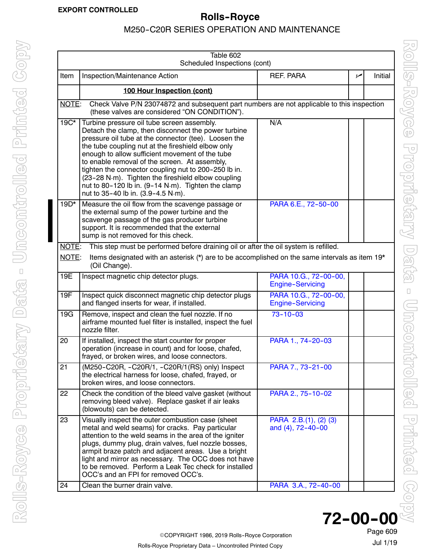# M250--C20R SERIES OPERATION AND MAINTENANCE

<span id="page-4-0"></span>

|         | Table 602<br>Scheduled Inspections (cont)                                                                                                                                                                                                                                                                                                                                                                                                                                                                                     |                                                  |     |         |
|---------|-------------------------------------------------------------------------------------------------------------------------------------------------------------------------------------------------------------------------------------------------------------------------------------------------------------------------------------------------------------------------------------------------------------------------------------------------------------------------------------------------------------------------------|--------------------------------------------------|-----|---------|
| Item    | Inspection/Maintenance Action                                                                                                                                                                                                                                                                                                                                                                                                                                                                                                 | <b>REF. PARA</b>                                 | ممر | Initial |
|         | 100 Hour Inspection (cont)                                                                                                                                                                                                                                                                                                                                                                                                                                                                                                    |                                                  |     |         |
| NOTE:   | Check Valve P/N 23074872 and subsequent part numbers are not applicable to this inspection<br>(these valves are considered "ON CONDITION").                                                                                                                                                                                                                                                                                                                                                                                   |                                                  |     |         |
| $19C*$  | Turbine pressure oil tube screen assembly.<br>Detach the clamp, then disconnect the power turbine<br>pressure oil tube at the connector (tee). Loosen the<br>the tube coupling nut at the fireshield elbow only<br>enough to allow sufficient movement of the tube<br>to enable removal of the screen. At assembly,<br>tighten the connector coupling nut to 200-250 lb in.<br>(23-28 N·m). Tighten the fireshield elbow coupling<br>nut to 80-120 lb in. (9-14 N·m). Tighten the clamp<br>nut to 35-40 lb in. (3.9-4.5 N·m). | N/A                                              |     |         |
| $19D^*$ | Measure the oil flow from the scavenge passage or<br>the external sump of the power turbine and the<br>scavenge passage of the gas producer turbine<br>support. It is recommended that the external<br>sump is not removed for this check.                                                                                                                                                                                                                                                                                    | PARA 6.E., 72-50-00                              |     |         |
| NOTE:   | This step must be performed before draining oil or after the oil system is refilled.                                                                                                                                                                                                                                                                                                                                                                                                                                          |                                                  |     |         |
| NOTE:   | Items designated with an asterisk (*) are to be accomplished on the same intervals as item 19*<br>(Oil Change).                                                                                                                                                                                                                                                                                                                                                                                                               |                                                  |     |         |
| 19E     | Inspect magnetic chip detector plugs.                                                                                                                                                                                                                                                                                                                                                                                                                                                                                         | PARA 10.G., 72-00-00,<br><b>Engine-Servicing</b> |     |         |
| 19F     | Inspect quick disconnect magnetic chip detector plugs<br>and flanged inserts for wear, if installed.                                                                                                                                                                                                                                                                                                                                                                                                                          | PARA 10.G., 72-00-00,<br><b>Engine-Servicing</b> |     |         |
| 19G     | Remove, inspect and clean the fuel nozzle. If no<br>airframe mounted fuel filter is installed, inspect the fuel<br>nozzle filter.                                                                                                                                                                                                                                                                                                                                                                                             | $73 - 10 - 03$                                   |     |         |
| 20      | If installed, inspect the start counter for proper<br>operation (increase in count) and for loose, chafed,<br>frayed, or broken wires, and loose connectors.                                                                                                                                                                                                                                                                                                                                                                  | PARA 1., 74-20-03                                |     |         |
| 21      | (M250-C20R, -C20R/1, -C20R/1(RS) only) Inspect<br>the electrical harness for loose, chafed, frayed, or<br>broken wires, and loose connectors.                                                                                                                                                                                                                                                                                                                                                                                 | PARA 7., 73-21-00                                |     |         |
| 22      | Check the condition of the bleed valve gasket (without<br>removing bleed valve). Replace gasket if air leaks<br>(blowouts) can be detected.                                                                                                                                                                                                                                                                                                                                                                                   | PARA 2., 75-10-02                                |     |         |
| 23      | Visually inspect the outer combustion case (sheet<br>metal and weld seams) for cracks. Pay particular<br>attention to the weld seams in the area of the igniter<br>plugs, dummy plug, drain valves, fuel nozzle bosses,<br>armpit braze patch and adjacent areas. Use a bright<br>light and mirror as necessary. The OCC does not have<br>to be removed. Perform a Leak Tec check for installed<br>OCC's and an FPI for removed OCC's.                                                                                        | PARA 2.B.(1), (2) (3)<br>and (4), 72-40-00       |     |         |
| 24      | Clean the burner drain valve.                                                                                                                                                                                                                                                                                                                                                                                                                                                                                                 | PARA 3.A., 72-40-00                              |     |         |

**72--00--00**

Page 609 Jul 1/19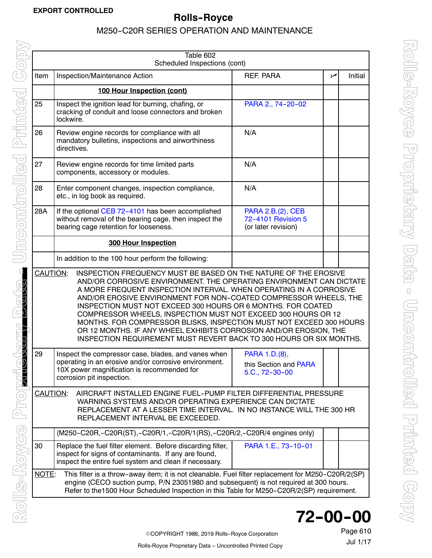#### M250-C20R SERIES OPERATION AND MAINTENANCE

<span id="page-5-0"></span>

|                 | Table 602<br>Scheduled Inspections (cont)                                                                                                                                                                                                                                                                                                                                                                                                                                                                                                                                                                                            |                                                                |     |         |
|-----------------|--------------------------------------------------------------------------------------------------------------------------------------------------------------------------------------------------------------------------------------------------------------------------------------------------------------------------------------------------------------------------------------------------------------------------------------------------------------------------------------------------------------------------------------------------------------------------------------------------------------------------------------|----------------------------------------------------------------|-----|---------|
| Item            | Inspection/Maintenance Action                                                                                                                                                                                                                                                                                                                                                                                                                                                                                                                                                                                                        | <b>REF. PARA</b>                                               | ممر | Initial |
|                 | 100 Hour Inspection (cont)                                                                                                                                                                                                                                                                                                                                                                                                                                                                                                                                                                                                           |                                                                |     |         |
| 25              | Inspect the ignition lead for burning, chafing, or<br>cracking of conduit and loose connectors and broken<br>lockwire.                                                                                                                                                                                                                                                                                                                                                                                                                                                                                                               | PARA 2., 74-20-02                                              |     |         |
| 26              | Review engine records for compliance with all<br>mandatory bulletins, inspections and airworthiness<br>directives.                                                                                                                                                                                                                                                                                                                                                                                                                                                                                                                   | N/A                                                            |     |         |
| 27              | Review engine records for time limited parts<br>components, accessory or modules.                                                                                                                                                                                                                                                                                                                                                                                                                                                                                                                                                    | N/A                                                            |     |         |
| 28              | Enter component changes, inspection compliance,<br>etc., in log book as required.                                                                                                                                                                                                                                                                                                                                                                                                                                                                                                                                                    | N/A                                                            |     |         |
| 28A             | If the optional CEB 72-4101 has been accomplished<br>without removal of the bearing cage, then inspect the<br>bearing cage retention for looseness.                                                                                                                                                                                                                                                                                                                                                                                                                                                                                  | PARA 2.B.(2), CEB<br>72-4101 Revision 5<br>(or later revision) |     |         |
|                 | 300 Hour Inspection                                                                                                                                                                                                                                                                                                                                                                                                                                                                                                                                                                                                                  |                                                                |     |         |
|                 | In addition to the 100 hour perform the following:                                                                                                                                                                                                                                                                                                                                                                                                                                                                                                                                                                                   |                                                                |     |         |
| <b>CAUTION:</b> | INSPECTION FREQUENCY MUST BE BASED ON THE NATURE OF THE EROSIVE<br>AND/OR CORROSIVE ENVIRONMENT. THE OPERATING ENVIRONMENT CAN DICTATE<br>A MORE FREQUENT INSPECTION INTERVAL. WHEN OPERATING IN A CORROSIVE<br>AND/OR EROSIVE ENVIRONMENT FOR NON-COATED COMPRESSOR WHEELS, THE<br>INSPECTION MUST NOT EXCEED 300 HOURS OR 6 MONTHS. FOR COATED<br>COMPRESSOR WHEELS, INSPECTION MUST NOT EXCEED 300 HOURS OR 12<br>MONTHS. FOR COMPRESSOR BLISKS, INSPECTION MUST NOT EXCEED 300 HOURS<br>OR 12 MONTHS. IF ANY WHEEL EXHIBITS CORROSION AND/OR EROSION, THE<br>INSPECTION REQUIREMENT MUST REVERT BACK TO 300 HOURS OR SIX MONTHS. |                                                                |     |         |
| 29              | Inspect the compressor case, blades, and vanes when<br>operating in an erosive and/or corrosive environment.<br>10X power magnification is recommended for<br>corrosion pit inspection.                                                                                                                                                                                                                                                                                                                                                                                                                                              | PARA 1.D.(8),<br>this Section and PARA<br>$5.C., 72-30-00$     |     |         |
| CAUTION:        | AIRCRAFT INSTALLED ENGINE FUEL-PUMP FILTER DIFFERENTIAL PRESSURE<br>WARNING SYSTEMS AND/OR OPERATING EXPERIENCE CAN DICTATE<br>REPLACEMENT AT A LESSER TIME INTERVAL. IN NO INSTANCE WILL THE 300 HR<br>REPLACEMENT INTERVAL BE EXCEEDED.                                                                                                                                                                                                                                                                                                                                                                                            |                                                                |     |         |
|                 | (M250-C20R,-C20R(ST),-C20R/1,-C20R/1(RS),-C20R/2,-C20R/4 engines only)                                                                                                                                                                                                                                                                                                                                                                                                                                                                                                                                                               |                                                                |     |         |
| 30              | Replace the fuel filter element. Before discarding filter,<br>inspect for signs of contaminants. If any are found,<br>inspect the entire fuel system and clean if necessary.                                                                                                                                                                                                                                                                                                                                                                                                                                                         | PARA 1.E., 73-10-01                                            |     |         |
| NOTE:           | This filter is a throw-away item; it is not cleanable. Fuel filter replacement for M250-C20R/2(SP)<br>engine (CECO suction pump, P/N 23051980 and subsequent) is not required at 300 hours.<br>Refer to the1500 Hour Scheduled Inspection in this Table for M250-C20R/2(SP) requirement.                                                                                                                                                                                                                                                                                                                                             |                                                                |     |         |

# **72--00--00**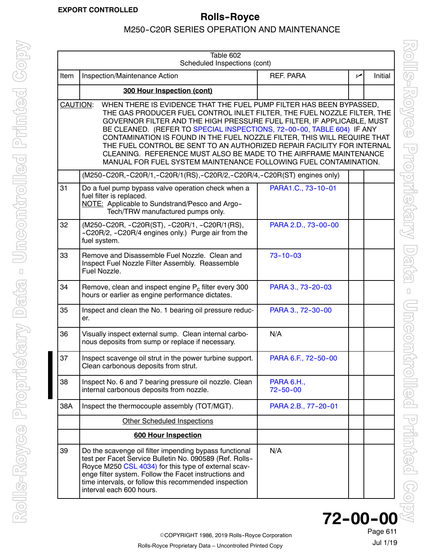#### M250--C20R SERIES OPERATION AND MAINTENANCE

<span id="page-6-0"></span>

|          | Table 602<br>Scheduled Inspections (cont)                                                                                                                                                                                                                                                                                                                                                                                                                                                                                                                                                         |                                     |     |         |
|----------|---------------------------------------------------------------------------------------------------------------------------------------------------------------------------------------------------------------------------------------------------------------------------------------------------------------------------------------------------------------------------------------------------------------------------------------------------------------------------------------------------------------------------------------------------------------------------------------------------|-------------------------------------|-----|---------|
| Item     | Inspection/Maintenance Action                                                                                                                                                                                                                                                                                                                                                                                                                                                                                                                                                                     | <b>REF. PARA</b>                    | مرا | Initial |
|          | 300 Hour Inspection (cont)                                                                                                                                                                                                                                                                                                                                                                                                                                                                                                                                                                        |                                     |     |         |
| CAUTION: | WHEN THERE IS EVIDENCE THAT THE FUEL PUMP FILTER HAS BEEN BYPASSED,<br>THE GAS PRODUCER FUEL CONTROL INLET FILTER, THE FUEL NOZZLE FILTER, THE<br>GOVERNOR FILTER AND THE HIGH PRESSURE FUEL FILTER, IF APPLICABLE, MUST<br>BE CLEANED. (REFER TO SPECIAL INSPECTIONS, 72-00-00, TABLE 604) IF ANY<br>CONTAMINATION IS FOUND IN THE FUEL NOZZLE FILTER, THIS WILL REQUIRE THAT<br>THE FUEL CONTROL BE SENT TO AN AUTHORIZED REPAIR FACILITY FOR INTERNAL<br>CLEANING. REFERENCE MUST ALSO BE MADE TO THE AIRFRAME MAINTENANCE<br>MANUAL FOR FUEL SYSTEM MAINTENANCE FOLLOWING FUEL CONTAMINATION. |                                     |     |         |
| 31       | (M250-C20R,-C20R/1,-C20R/1(RS),-C20R/2,-C20R/4,-C20R(ST) engines only)<br>Do a fuel pump bypass valve operation check when a                                                                                                                                                                                                                                                                                                                                                                                                                                                                      | PARA1.C., 73-10-01                  |     |         |
|          | fuel filter is replaced.<br>NOTE: Applicable to Sundstrand/Pesco and Argo-<br>Tech/TRW manufactured pumps only.                                                                                                                                                                                                                                                                                                                                                                                                                                                                                   |                                     |     |         |
| 32       | (M250-C20R, -C20R(ST), -C20R/1, -C20R/1(RS),<br>-C20R/2, -C20R/4 engines only.) Purge air from the<br>fuel system.                                                                                                                                                                                                                                                                                                                                                                                                                                                                                | PARA 2.D., 73-00-00                 |     |         |
| 33       | Remove and Disassemble Fuel Nozzle. Clean and<br>Inspect Fuel Nozzle Filter Assembly. Reassemble<br>Fuel Nozzle.                                                                                                                                                                                                                                                                                                                                                                                                                                                                                  | $73 - 10 - 03$                      |     |         |
| 34       | Remove, clean and inspect engine P <sub>c</sub> filter every 300<br>hours or earlier as engine performance dictates.                                                                                                                                                                                                                                                                                                                                                                                                                                                                              | PARA 3., 73-20-03                   |     |         |
| 35       | Inspect and clean the No. 1 bearing oil pressure reduc-<br>er.                                                                                                                                                                                                                                                                                                                                                                                                                                                                                                                                    | PARA 3., 72-30-00                   |     |         |
| 36       | Visually inspect external sump. Clean internal carbo-<br>nous deposits from sump or replace if necessary.                                                                                                                                                                                                                                                                                                                                                                                                                                                                                         | N/A                                 |     |         |
| 37       | Inspect scavenge oil strut in the power turbine support.<br>Clean carbonous deposits from strut.                                                                                                                                                                                                                                                                                                                                                                                                                                                                                                  | PARA 6.F., 72-50-00                 |     |         |
| 38       | Inspect No. 6 and 7 bearing pressure oil nozzle. Clean<br>internal carbonous deposits from nozzle.                                                                                                                                                                                                                                                                                                                                                                                                                                                                                                | <b>PARA 6.H.,</b><br>$72 - 50 - 00$ |     |         |
| 38A      | Inspect the thermocouple assembly (TOT/MGT).                                                                                                                                                                                                                                                                                                                                                                                                                                                                                                                                                      | PARA 2.B., 77-20-01                 |     |         |
|          | <b>Other Scheduled Inspections</b>                                                                                                                                                                                                                                                                                                                                                                                                                                                                                                                                                                |                                     |     |         |
|          | 600 Hour Inspection                                                                                                                                                                                                                                                                                                                                                                                                                                                                                                                                                                               |                                     |     |         |
| 39       | Do the scavenge oil filter impending bypass functional<br>test per Facet Service Bulletin No. 090589 (Ref. Rolls-<br>Royce M250 CSL 4034) for this type of external scav-<br>enge filter system. Follow the Facet instructions and<br>time intervals, or follow this recommended inspection<br>interval each 600 hours.                                                                                                                                                                                                                                                                           | N/A                                 |     |         |

**72--00--00**

Page 611 Jul 1/19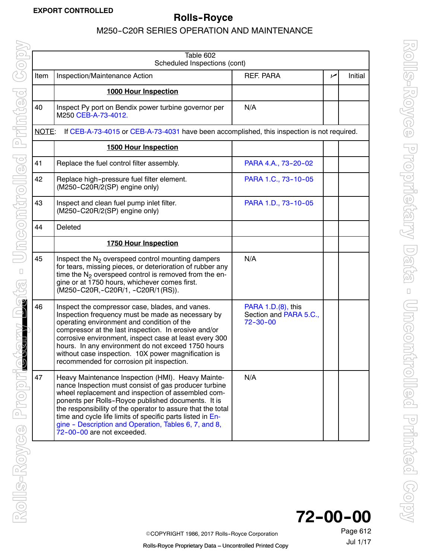# M250-C20R SERIES OPERATION AND MAINTENANCE

<span id="page-7-0"></span>

|       | Table 602<br>Scheduled Inspections (cont)                                                                                                                                                                                                                                                                                                                                                                                                  |                                                                   |     |         |
|-------|--------------------------------------------------------------------------------------------------------------------------------------------------------------------------------------------------------------------------------------------------------------------------------------------------------------------------------------------------------------------------------------------------------------------------------------------|-------------------------------------------------------------------|-----|---------|
| Item  | Inspection/Maintenance Action                                                                                                                                                                                                                                                                                                                                                                                                              | <b>REF. PARA</b>                                                  | ممر | Initial |
|       | 1000 Hour Inspection                                                                                                                                                                                                                                                                                                                                                                                                                       |                                                                   |     |         |
| 40    | Inspect Py port on Bendix power turbine governor per<br>M250 CEB-A-73-4012.                                                                                                                                                                                                                                                                                                                                                                | N/A                                                               |     |         |
| NOTE: | If CEB-A-73-4015 or CEB-A-73-4031 have been accomplished, this inspection is not required.                                                                                                                                                                                                                                                                                                                                                 |                                                                   |     |         |
|       | 1500 Hour Inspection                                                                                                                                                                                                                                                                                                                                                                                                                       |                                                                   |     |         |
| 41    | Replace the fuel control filter assembly.                                                                                                                                                                                                                                                                                                                                                                                                  | PARA 4.A., 73-20-02                                               |     |         |
| 42    | Replace high-pressure fuel filter element.<br>(M250-C20R/2(SP) engine only)                                                                                                                                                                                                                                                                                                                                                                | PARA 1.C., 73-10-05                                               |     |         |
| 43    | Inspect and clean fuel pump inlet filter.<br>(M250-C20R/2(SP) engine only)                                                                                                                                                                                                                                                                                                                                                                 | PARA 1.D., 73-10-05                                               |     |         |
| 44    | Deleted                                                                                                                                                                                                                                                                                                                                                                                                                                    |                                                                   |     |         |
|       | 1750 Hour Inspection                                                                                                                                                                                                                                                                                                                                                                                                                       |                                                                   |     |         |
| 45    | Inspect the $N_2$ overspeed control mounting dampers<br>for tears, missing pieces, or deterioration of rubber any<br>time the $N_2$ overspeed control is removed from the en-<br>gine or at 1750 hours, whichever comes first.<br>(M250-C20R,-C20R/1, -C20R/1(RS)).                                                                                                                                                                        | N/A                                                               |     |         |
| 46    | Inspect the compressor case, blades, and vanes.<br>Inspection frequency must be made as necessary by<br>operating environment and condition of the<br>compressor at the last inspection. In erosive and/or<br>corrosive environment, inspect case at least every 300<br>hours. In any environment do not exceed 1750 hours<br>without case inspection. 10X power magnification is<br>recommended for corrosion pit inspection.             | PARA $1.D.(8)$ , this<br>Section and PARA 5.C.,<br>$72 - 30 - 00$ |     |         |
| 47    | Heavy Maintenance Inspection (HMI). Heavy Mainte-<br>nance Inspection must consist of gas producer turbine<br>wheel replacement and inspection of assembled com-<br>ponents per Rolls-Royce published documents. It is<br>the responsibility of the operator to assure that the total<br>time and cycle life limits of specific parts listed in En-<br>gine - Description and Operation, Tables 6, 7, and 8,<br>72-00-00 are not exceeded. | N/A                                                               |     |         |

**72--00--00**

Page 612 Jul 1/17

©COPYRIGHT 1986, 2017 Rolls-Royce Corporation

Rolls-Royce Proprietary Data – Uncontrolled Printed Copy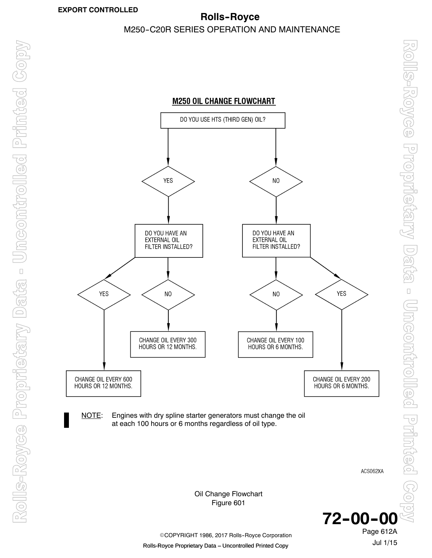M250--C20R SERIES OPERATION AND MAINTENANCE

<span id="page-8-0"></span>

#### NOTE: Engines with dry spline starter generators must change the oil at each 100 hours or 6 months regardless of oil type.

ACS062XA

Oil Change Flowchart Figure 601

**72--00--00**

ECOPYRIGHT 1986, 2017 Rolls--Royce Corporation Rolls-Royce Proprietary Data – Uncontrolled Printed Copy

Page 612A Jul 1/15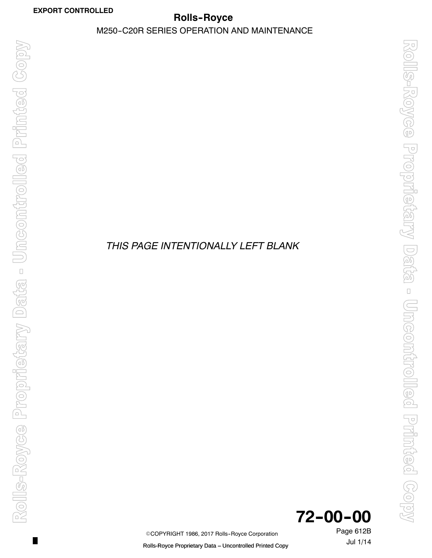M250-C20R SERIES OPERATION AND MAINTENANCE

*THIS PAGE INTENTIONALLY LEFT BLANK*

**72--00--00**

Page 612B Jul 1/14

©COPYRIGHT 1986, 2017 Rolls-Royce Corporation

Rolls-Royce Proprietary Data – Uncontrolled Printed Copy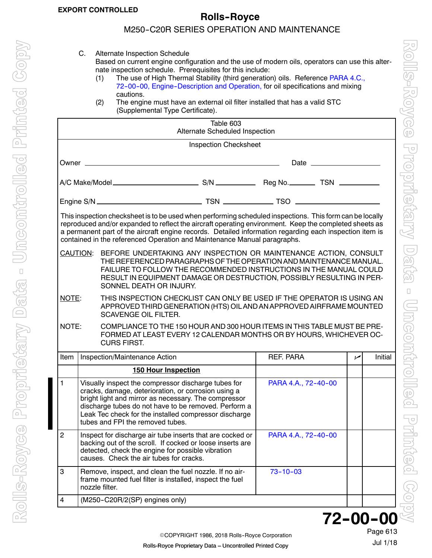#### M250--C20R SERIES OPERATION AND MAINTENANCE

<span id="page-10-0"></span>C. Alternate Inspection Schedule

Based on current engine configuration and the use of modern oils, operators can use this alternate inspection schedule. Prerequisites for this include:

- (1) [The use of High Thermal Stability \(third generation\) oils. Reference](#page-29-0) PARA 4.C., 72-00-00, Engine-Description and Operation, for oil specifications and mixing cautions.
- (2) The engine must have an external oil filter installed that has a valid STC (Supplemental Type Certificate).

| Table 603<br>Alternate Scheduled Inspection                                                                                                                                                                                                                                                                                               |                                                                                                                                                                                                                                                                                                                                                                                                           |  |  |  |  |
|-------------------------------------------------------------------------------------------------------------------------------------------------------------------------------------------------------------------------------------------------------------------------------------------------------------------------------------------|-----------------------------------------------------------------------------------------------------------------------------------------------------------------------------------------------------------------------------------------------------------------------------------------------------------------------------------------------------------------------------------------------------------|--|--|--|--|
| <b>Inspection Checksheet</b>                                                                                                                                                                                                                                                                                                              |                                                                                                                                                                                                                                                                                                                                                                                                           |  |  |  |  |
|                                                                                                                                                                                                                                                                                                                                           |                                                                                                                                                                                                                                                                                                                                                                                                           |  |  |  |  |
|                                                                                                                                                                                                                                                                                                                                           |                                                                                                                                                                                                                                                                                                                                                                                                           |  |  |  |  |
|                                                                                                                                                                                                                                                                                                                                           |                                                                                                                                                                                                                                                                                                                                                                                                           |  |  |  |  |
|                                                                                                                                                                                                                                                                                                                                           | This inspection checksheet is to be used when performing scheduled inspections. This form can be locally<br>reproduced and/or expanded to reflect the aircraft operating environment. Keep the completed sheets as<br>a permanent part of the aircraft engine records. Detailed information regarding each inspection item is<br>contained in the referenced Operation and Maintenance Manual paragraphs. |  |  |  |  |
| CAUTION: BEFORE UNDERTAKING ANY INSPECTION OR MAINTENANCE ACTION, CONSULT<br>THE REFERENCED PARAGRAPHS OF THE OPERATION AND MAINTENANCE MANUAL.<br>FAILURE TO FOLLOW THE RECOMMENDED INSTRUCTIONS IN THE MANUAL COULD<br>RESULT IN EQUIPMENT DAMAGE OR DESTRUCTION, POSSIBLY RESULTING IN PER-<br>SONNEL DEATH OR INJURY.                 |                                                                                                                                                                                                                                                                                                                                                                                                           |  |  |  |  |
| NOTE:<br><b>SCAVENGE OIL FILTER.</b>                                                                                                                                                                                                                                                                                                      | THIS INSPECTION CHECKLIST CAN ONLY BE USED IF THE OPERATOR IS USING AN<br>APPROVED THIRD GENERATION (HTS) OIL AND AN APPROVED AIRFRAME MOUNTED                                                                                                                                                                                                                                                            |  |  |  |  |
| NOTE:<br><b>CURS FIRST.</b>                                                                                                                                                                                                                                                                                                               | COMPLIANCE TO THE 150 HOUR AND 300 HOUR ITEMS IN THIS TABLE MUST BE PRE-<br>FORMED AT LEAST EVERY 12 CALENDAR MONTHS OR BY HOURS, WHICHEVER OC-                                                                                                                                                                                                                                                           |  |  |  |  |
| Inspection/Maintenance Action<br>Item                                                                                                                                                                                                                                                                                                     | REF. PARA<br>Initial<br>مم                                                                                                                                                                                                                                                                                                                                                                                |  |  |  |  |
| <b>150 Hour Inspection</b>                                                                                                                                                                                                                                                                                                                |                                                                                                                                                                                                                                                                                                                                                                                                           |  |  |  |  |
| $\blacksquare$<br>Visually inspect the compressor discharge tubes for<br>cracks, damage, deterioration, or corrosion using a<br>bright light and mirror as necessary. The compressor<br>discharge tubes do not have to be removed. Perform a<br>Leak Tec check for the installed compressor discharge<br>tubes and FPI the removed tubes. | PARA 4.A., 72-40-00                                                                                                                                                                                                                                                                                                                                                                                       |  |  |  |  |
| $\overline{c}$<br>Inspect for discharge air tube inserts that are cocked or<br>backing out of the scroll. If cocked or loose inserts are<br>detected, check the engine for possible vibration<br>causes. Check the air tubes for cracks.                                                                                                  | PARA 4.A., 72-40-00                                                                                                                                                                                                                                                                                                                                                                                       |  |  |  |  |
| 3<br>Remove, inspect, and clean the fuel nozzle. If no air-<br>frame mounted fuel filter is installed, inspect the fuel<br>nozzle filter.                                                                                                                                                                                                 | $73 - 10 - 03$                                                                                                                                                                                                                                                                                                                                                                                            |  |  |  |  |
| (M250-C20R/2(SP) engines only)<br>4                                                                                                                                                                                                                                                                                                       |                                                                                                                                                                                                                                                                                                                                                                                                           |  |  |  |  |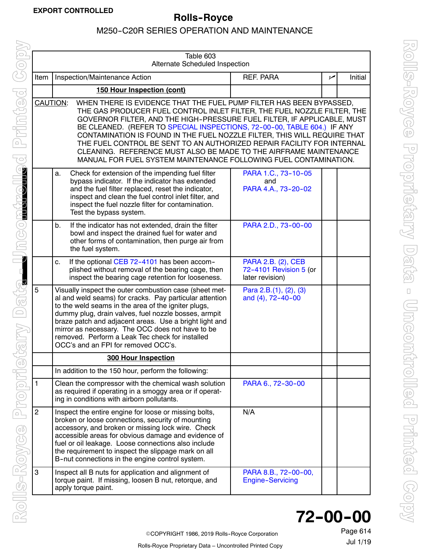#### M250-C20R SERIES OPERATION AND MAINTENANCE

|                | Table 603<br>Alternate Scheduled Inspection                                                                                                                                                                                                                                                                                                                                                                                                                                                                                                                                                         |                                                                 |     |         |
|----------------|-----------------------------------------------------------------------------------------------------------------------------------------------------------------------------------------------------------------------------------------------------------------------------------------------------------------------------------------------------------------------------------------------------------------------------------------------------------------------------------------------------------------------------------------------------------------------------------------------------|-----------------------------------------------------------------|-----|---------|
| Item           | Inspection/Maintenance Action                                                                                                                                                                                                                                                                                                                                                                                                                                                                                                                                                                       | <b>REF. PARA</b>                                                | ممر | Initial |
|                | 150 Hour Inspection (cont)                                                                                                                                                                                                                                                                                                                                                                                                                                                                                                                                                                          |                                                                 |     |         |
| CAUTION:       | WHEN THERE IS EVIDENCE THAT THE FUEL PUMP FILTER HAS BEEN BYPASSED,<br>THE GAS PRODUCER FUEL CONTROL INLET FILTER, THE FUEL NOZZLE FILTER, THE<br>GOVERNOR FILTER, AND THE HIGH-PRESSURE FUEL FILTER, IF APPLICABLE, MUST<br>BE CLEANED. (REFER TO SPECIAL INSPECTIONS, 72-00-00, TABLE 604.) IF ANY<br>CONTAMINATION IS FOUND IN THE FUEL NOZZLE FILTER, THIS WILL REQUIRE THAT<br>THE FUEL CONTROL BE SENT TO AN AUTHORIZED REPAIR FACILITY FOR INTERNAL<br>CLEANING. REFERENCE MUST ALSO BE MADE TO THE AIRFRAME MAINTENANCE<br>MANUAL FOR FUEL SYSTEM MAINTENANCE FOLLOWING FUEL CONTAMINATION. |                                                                 |     |         |
|                | Check for extension of the impending fuel filter<br>a.<br>bypass indicator. If the indicator has extended<br>and the fuel filter replaced, reset the indicator,<br>inspect and clean the fuel control inlet filter, and<br>inspect the fuel nozzle filter for contamination.<br>Test the bypass system.                                                                                                                                                                                                                                                                                             | PARA 1.C., 73-10-05<br>and<br>PARA 4.A., 73-20-02               |     |         |
|                | If the indicator has not extended, drain the filter<br>b.<br>bowl and inspect the drained fuel for water and<br>other forms of contamination, then purge air from<br>the fuel system.                                                                                                                                                                                                                                                                                                                                                                                                               | PARA 2.D., 73-00-00                                             |     |         |
|                | If the optional CEB 72-4101 has been accom-<br>c.<br>plished without removal of the bearing cage, then<br>inspect the bearing cage retention for looseness.                                                                                                                                                                                                                                                                                                                                                                                                                                         | PARA 2.B. (2), CEB<br>72-4101 Revision 5 (or<br>later revision) |     |         |
| 5              | Visually inspect the outer combustion case (sheet met-<br>al and weld seams) for cracks. Pay particular attention<br>to the weld seams in the area of the igniter plugs,<br>dummy plug, drain valves, fuel nozzle bosses, armpit<br>braze patch and adjacent areas. Use a bright light and<br>mirror as necessary. The OCC does not have to be<br>removed. Perform a Leak Tec check for installed<br>OCC's and an FPI for removed OCC's.                                                                                                                                                            | Para 2.B.(1), (2), (3)<br>and (4), 72-40-00                     |     |         |
|                | <b>300 Hour Inspection</b>                                                                                                                                                                                                                                                                                                                                                                                                                                                                                                                                                                          |                                                                 |     |         |
|                | In addition to the 150 hour, perform the following:                                                                                                                                                                                                                                                                                                                                                                                                                                                                                                                                                 |                                                                 |     |         |
| 1              | Clean the compressor with the chemical wash solution<br>as required if operating in a smoggy area or if operat-<br>ing in conditions with airborn pollutants.                                                                                                                                                                                                                                                                                                                                                                                                                                       | PARA 6., 72-30-00                                               |     |         |
| $\overline{c}$ | Inspect the entire engine for loose or missing bolts,<br>broken or loose connections, security of mounting<br>accessory, and broken or missing lock wire. Check<br>accessible areas for obvious damage and evidence of<br>fuel or oil leakage. Loose connections also include<br>the requirement to inspect the slippage mark on all<br>B-nut connections in the engine control system.                                                                                                                                                                                                             | N/A                                                             |     |         |
| 3              | Inspect all B nuts for application and alignment of<br>torque paint. If missing, loosen B nut, retorque, and<br>apply torque paint.                                                                                                                                                                                                                                                                                                                                                                                                                                                                 | PARA 8.B., 72-00-00,<br><b>Engine-Servicing</b>                 |     |         |

# **72--00--00**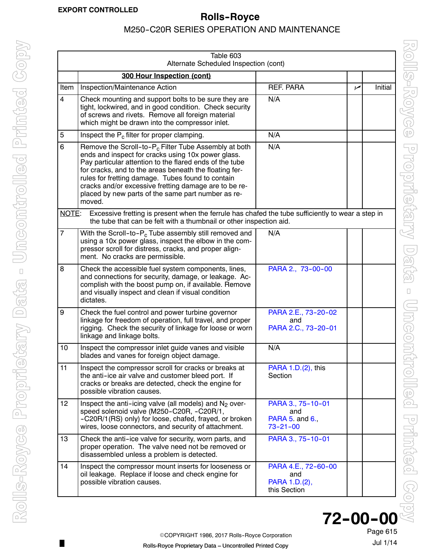Ш

# **Rolls--Royce**

#### M250--C20R SERIES OPERATION AND MAINTENANCE

<span id="page-12-0"></span>

|                         | Table 603<br>Alternate Scheduled Inspection (cont)                                                                                                                                                                                                                                                                                                                                                                        |                                                               |     |         |
|-------------------------|---------------------------------------------------------------------------------------------------------------------------------------------------------------------------------------------------------------------------------------------------------------------------------------------------------------------------------------------------------------------------------------------------------------------------|---------------------------------------------------------------|-----|---------|
|                         | 300 Hour Inspection (cont)                                                                                                                                                                                                                                                                                                                                                                                                |                                                               |     |         |
| Item                    | Inspection/Maintenance Action                                                                                                                                                                                                                                                                                                                                                                                             | <b>REF. PARA</b>                                              | مما | Initial |
| $\overline{\mathbf{4}}$ | Check mounting and support bolts to be sure they are<br>tight, lockwired, and in good condition. Check security<br>of screws and rivets. Remove all foreign material<br>which might be drawn into the compressor inlet.                                                                                                                                                                                                   | N/A                                                           |     |         |
| 5                       | Inspect the $P_c$ filter for proper clamping.                                                                                                                                                                                                                                                                                                                                                                             | N/A                                                           |     |         |
| $6\phantom{1}$          | Remove the Scroll-to-P <sub>c</sub> Filter Tube Assembly at both<br>ends and inspect for cracks using 10x power glass.<br>Pay particular attention to the flared ends of the tube<br>for cracks, and to the areas beneath the floating fer-<br>rules for fretting damage. Tubes found to contain<br>cracks and/or excessive fretting damage are to be re-<br>placed by new parts of the same part number as re-<br>moved. | N/A                                                           |     |         |
| NOTE:                   | Excessive fretting is present when the ferrule has chafed the tube sufficiently to wear a step in<br>the tube that can be felt with a thumbnail or other inspection aid.                                                                                                                                                                                                                                                  |                                                               |     |         |
| $\overline{7}$          | With the Scroll-to-P <sub>c</sub> Tube assembly still removed and<br>using a 10x power glass, inspect the elbow in the com-<br>pressor scroll for distress, cracks, and proper align-<br>ment. No cracks are permissible.                                                                                                                                                                                                 | N/A                                                           |     |         |
| 8                       | Check the accessible fuel system components, lines,<br>and connections for security, damage, or leakage. Ac-<br>complish with the boost pump on, if available. Remove<br>and visually inspect and clean if visual condition<br>dictates.                                                                                                                                                                                  | PARA 2., 73-00-00                                             |     |         |
| $\boldsymbol{9}$        | Check the fuel control and power turbine governor<br>linkage for freedom of operation, full travel, and proper<br>rigging. Check the security of linkage for loose or worn<br>linkage and linkage bolts.                                                                                                                                                                                                                  | PARA 2.E., 73-20-02<br>and<br>PARA 2.C., 73-20-01             |     |         |
| 10                      | Inspect the compressor inlet guide vanes and visible<br>blades and vanes for foreign object damage.                                                                                                                                                                                                                                                                                                                       | N/A                                                           |     |         |
| 11                      | Inspect the compressor scroll for cracks or breaks at<br>the anti-ice air valve and customer bleed port. If<br>cracks or breaks are detected, check the engine for<br>possible vibration causes.                                                                                                                                                                                                                          | PARA 1.D.(2), this<br>Section                                 |     |         |
| 12                      | Inspect the anti-icing valve (all models) and $N_2$ over-<br>speed solenoid valve (M250-C20R, -C20R/1,<br>-C20R/1(RS) only) for loose, chafed, frayed, or broken<br>wires, loose connectors, and security of attachment.                                                                                                                                                                                                  | PARA 3., 75-10-01<br>and<br>PARA 5. and 6.,<br>$73 - 21 - 00$ |     |         |
| 13                      | Check the anti-ice valve for security, worn parts, and<br>proper operation. The valve need not be removed or<br>disassembled unless a problem is detected.                                                                                                                                                                                                                                                                | PARA 3., 75-10-01                                             |     |         |
| 14                      | Inspect the compressor mount inserts for looseness or<br>oil leakage. Replace if loose and check engine for<br>possible vibration causes.                                                                                                                                                                                                                                                                                 | PARA 4.E., 72-60-00<br>and<br>PARA 1.D.(2),<br>this Section   |     |         |

**72--00--00**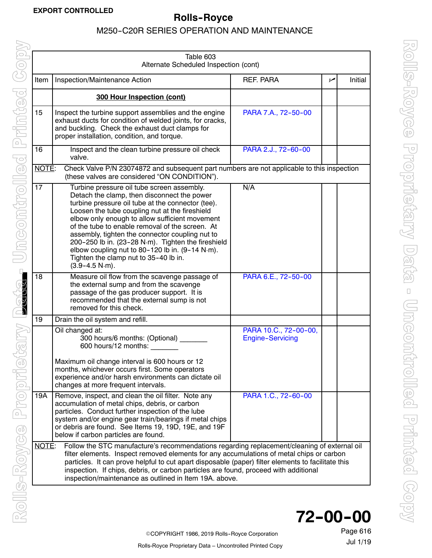#### M250-C20R SERIES OPERATION AND MAINTENANCE

<span id="page-13-0"></span>

|       | Table 603<br>Alternate Scheduled Inspection (cont)                                                                                                                                                                                                                                                                                                                                                                                                                                                                                |                                                  |     |         |
|-------|-----------------------------------------------------------------------------------------------------------------------------------------------------------------------------------------------------------------------------------------------------------------------------------------------------------------------------------------------------------------------------------------------------------------------------------------------------------------------------------------------------------------------------------|--------------------------------------------------|-----|---------|
| Item  | Inspection/Maintenance Action                                                                                                                                                                                                                                                                                                                                                                                                                                                                                                     | <b>REF. PARA</b>                                 | مما | Initial |
|       | 300 Hour Inspection (cont)                                                                                                                                                                                                                                                                                                                                                                                                                                                                                                        |                                                  |     |         |
| 15    | Inspect the turbine support assemblies and the engine<br>exhaust ducts for condition of welded joints, for cracks,<br>and buckling. Check the exhaust duct clamps for<br>proper installation, condition, and torque.                                                                                                                                                                                                                                                                                                              | PARA 7.A., 72-50-00                              |     |         |
| 16    | Inspect and the clean turbine pressure oil check<br>valve.                                                                                                                                                                                                                                                                                                                                                                                                                                                                        | PARA 2.J., 72-60-00                              |     |         |
| NOTE: | Check Valve P/N 23074872 and subsequent part numbers are not applicable to this inspection<br>(these valves are considered "ON CONDITION").                                                                                                                                                                                                                                                                                                                                                                                       |                                                  |     |         |
| 17    | Turbine pressure oil tube screen assembly.<br>Detach the clamp, then disconnect the power<br>turbine pressure oil tube at the connector (tee).<br>Loosen the tube coupling nut at the fireshield<br>elbow only enough to allow sufficient movement<br>of the tube to enable removal of the screen. At<br>assembly, tighten the connector coupling nut to<br>200-250 lb in. (23-28 N·m). Tighten the fireshield<br>elbow coupling nut to 80-120 lb in. (9-14 N·m).<br>Tighten the clamp nut to 35-40 lb in.<br>$(3.9 - 4.5 N·m)$ . | N/A                                              |     |         |
| 18    | Measure oil flow from the scavenge passage of<br>the external sump and from the scavenge<br>passage of the gas producer support. It is<br>recommended that the external sump is not<br>removed for this check.                                                                                                                                                                                                                                                                                                                    | PARA 6.E., 72-50-00                              |     |         |
| 19    | Drain the oil system and refill.                                                                                                                                                                                                                                                                                                                                                                                                                                                                                                  |                                                  |     |         |
|       | Oil changed at:<br>300 hours/6 months: (Optional)<br>600 hours/12 months: _______<br>Maximum oil change interval is 600 hours or 12<br>months, whichever occurs first. Some operators<br>experience and/or harsh environments can dictate oil<br>changes at more frequent intervals.                                                                                                                                                                                                                                              | PARA 10.C., 72-00-00,<br><b>Engine-Servicing</b> |     |         |
| 19A   | Remove, inspect, and clean the oil filter. Note any<br>accumulation of metal chips, debris, or carbon<br>particles. Conduct further inspection of the lube<br>system and/or engine gear train/bearings if metal chips<br>or debris are found. See Items 19, 19D, 19E, and 19F<br>below if carbon particles are found.                                                                                                                                                                                                             | PARA 1.C., 72-60-00                              |     |         |
| NOTE: | Follow the STC manufacture's recommendations regarding replacement/cleaning of external oil<br>filter elements. Inspect removed elements for any accumulations of metal chips or carbon<br>particles. It can prove helpful to cut apart disposable (paper) filter elements to facilitate this<br>inspection. If chips, debris, or carbon particles are found, proceed with additional<br>inspection/maintenance as outlined in Item 19A. above.                                                                                   |                                                  |     |         |



Page 616 Jul 1/19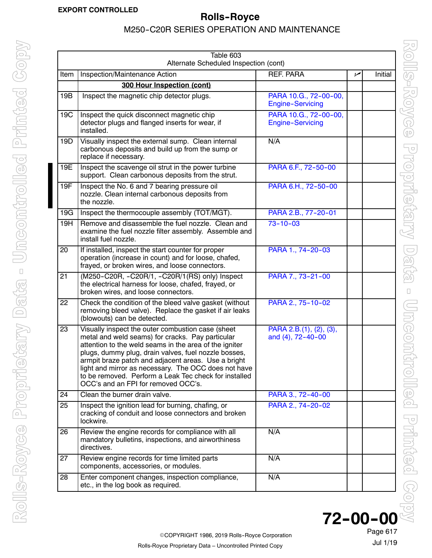### M250--C20R SERIES OPERATION AND MAINTENANCE

|      | Table 603<br>Alternate Scheduled Inspection (cont)                                                                                                                                                                                                                                                                                                                                                                                     |                                                  |    |         |
|------|----------------------------------------------------------------------------------------------------------------------------------------------------------------------------------------------------------------------------------------------------------------------------------------------------------------------------------------------------------------------------------------------------------------------------------------|--------------------------------------------------|----|---------|
| Item | Inspection/Maintenance Action                                                                                                                                                                                                                                                                                                                                                                                                          | REF. PARA                                        | مم | Initial |
|      | 300 Hour Inspection (cont)                                                                                                                                                                                                                                                                                                                                                                                                             |                                                  |    |         |
| 19B  | Inspect the magnetic chip detector plugs.                                                                                                                                                                                                                                                                                                                                                                                              | PARA 10.G., 72-00-00,<br><b>Engine-Servicing</b> |    |         |
| 19C  | Inspect the quick disconnect magnetic chip<br>detector plugs and flanged inserts for wear, if<br>installed.                                                                                                                                                                                                                                                                                                                            | PARA 10.G., 72-00-00,<br><b>Engine-Servicing</b> |    |         |
| 19D  | Visually inspect the external sump. Clean internal<br>carbonous deposits and build up from the sump or<br>replace if necessary.                                                                                                                                                                                                                                                                                                        | N/A                                              |    |         |
| 19E  | Inspect the scavenge oil strut in the power turbine<br>support. Clean carbonous deposits from the strut.                                                                                                                                                                                                                                                                                                                               | PARA 6.F., 72-50-00                              |    |         |
| 19F  | Inspect the No. 6 and 7 bearing pressure oil<br>nozzle. Clean internal carbonous deposits from<br>the nozzle.                                                                                                                                                                                                                                                                                                                          | PARA 6.H., 72-50-00                              |    |         |
| 19G  | Inspect the thermocouple assembly (TOT/MGT).                                                                                                                                                                                                                                                                                                                                                                                           | PARA 2.B., 77-20-01                              |    |         |
| 19H  | Remove and disassemble the fuel nozzle. Clean and<br>examine the fuel nozzle filter assembly. Assemble and<br>install fuel nozzle.                                                                                                                                                                                                                                                                                                     | $73 - 10 - 03$                                   |    |         |
| 20   | If installed, inspect the start counter for proper<br>operation (increase in count) and for loose, chafed,<br>frayed, or broken wires, and loose connectors.                                                                                                                                                                                                                                                                           | PARA 1., 74-20-03                                |    |         |
| 21   | (M250-C20R, -C20R/1, -C20R/1(RS) only) Inspect<br>the electrical harness for loose, chafed, frayed, or<br>broken wires, and loose connectors.                                                                                                                                                                                                                                                                                          | PARA 7., 73-21-00                                |    |         |
| 22   | Check the condition of the bleed valve gasket (without<br>removing bleed valve). Replace the gasket if air leaks<br>(blowouts) can be detected.                                                                                                                                                                                                                                                                                        | PARA 2., 75-10-02                                |    |         |
| 23   | Visually inspect the outer combustion case (sheet<br>metal and weld seams) for cracks. Pay particular<br>attention to the weld seams in the area of the igniter<br>plugs, dummy plug, drain valves, fuel nozzle bosses,<br>armpit braze patch and adjacent areas. Use a bright<br>light and mirror as necessary. The OCC does not have<br>to be removed. Perform a Leak Tec check for installed<br>OCC's and an FPI for removed OCC's. | PARA 2.B.(1), (2), (3),<br>and (4), 72-40-00     |    |         |
| 24   | Clean the burner drain valve.                                                                                                                                                                                                                                                                                                                                                                                                          | PARA 3., 72-40-00                                |    |         |
| 25   | Inspect the ignition lead for burning, chafing, or<br>cracking of conduit and loose connectors and broken<br>lockwire.                                                                                                                                                                                                                                                                                                                 | PARA 2., 74-20-02                                |    |         |
| 26   | Review the engine records for compliance with all<br>mandatory bulletins, inspections, and airworthiness<br>directives.                                                                                                                                                                                                                                                                                                                | N/A                                              |    |         |
| 27   | Review engine records for time limited parts<br>components, accessories, or modules.                                                                                                                                                                                                                                                                                                                                                   | N/A                                              |    |         |
| 28   | Enter component changes, inspection compliance,<br>etc., in the log book as required.                                                                                                                                                                                                                                                                                                                                                  | N/A                                              |    |         |

**72--00--00**

Page 617 Jul 1/19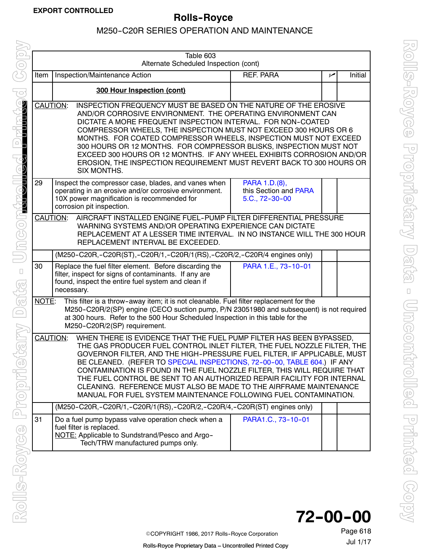# M250-C20R SERIES OPERATION AND MAINTENANCE

| Table 603<br>Alternate Scheduled Inspection (cont)                                                                                                                                                                                                                                                                                                                                                                                                                                                                                                                                                              |                                                                                                                                                                                                                                                       |                    |     |         |  |  |
|-----------------------------------------------------------------------------------------------------------------------------------------------------------------------------------------------------------------------------------------------------------------------------------------------------------------------------------------------------------------------------------------------------------------------------------------------------------------------------------------------------------------------------------------------------------------------------------------------------------------|-------------------------------------------------------------------------------------------------------------------------------------------------------------------------------------------------------------------------------------------------------|--------------------|-----|---------|--|--|
| Item                                                                                                                                                                                                                                                                                                                                                                                                                                                                                                                                                                                                            | Inspection/Maintenance Action                                                                                                                                                                                                                         | REF. PARA          | مما | Initial |  |  |
|                                                                                                                                                                                                                                                                                                                                                                                                                                                                                                                                                                                                                 | 300 Hour Inspection (cont)                                                                                                                                                                                                                            |                    |     |         |  |  |
| CAUTION:<br>INSPECTION FREQUENCY MUST BE BASED ON THE NATURE OF THE EROSIVE<br>AND/OR CORROSIVE ENVIRONMENT. THE OPERATING ENVIRONMENT CAN<br>DICTATE A MORE FREQUENT INSPECTION INTERVAL. FOR NON-COATED<br>COMPRESSOR WHEELS, THE INSPECTION MUST NOT EXCEED 300 HOURS OR 6<br>MONTHS. FOR COATED COMPRESSOR WHEELS, INSPECTION MUST NOT EXCEED<br>300 HOURS OR 12 MONTHS. FOR COMPRESSOR BLISKS, INSPECTION MUST NOT<br>EXCEED 300 HOURS OR 12 MONTHS. IF ANY WHEEL EXHIBITS CORROSION AND/OR<br>EROSION, THE INSPECTION REQUIREMENT MUST REVERT BACK TO 300 HOURS OR<br>SIX MONTHS.                         |                                                                                                                                                                                                                                                       |                    |     |         |  |  |
| 29                                                                                                                                                                                                                                                                                                                                                                                                                                                                                                                                                                                                              | Inspect the compressor case, blades, and vanes when<br>PARA 1.D.(8),<br>operating in an erosive and/or corrosive environment.<br>this Section and PARA<br>10X power magnification is recommended for<br>$5.C., 72-30-00$<br>corrosion pit inspection. |                    |     |         |  |  |
| <b>CAUTION:</b><br>AIRCRAFT INSTALLED ENGINE FUEL-PUMP FILTER DIFFERENTIAL PRESSURE<br>WARNING SYSTEMS AND/OR OPERATING EXPERIENCE CAN DICTATE<br>REPLACEMENT AT A LESSER TIME INTERVAL. IN NO INSTANCE WILL THE 300 HOUR<br>REPLACEMENT INTERVAL BE EXCEEDED.                                                                                                                                                                                                                                                                                                                                                  |                                                                                                                                                                                                                                                       |                    |     |         |  |  |
|                                                                                                                                                                                                                                                                                                                                                                                                                                                                                                                                                                                                                 | (M250-C20R,-C20R(ST),-C20R/1,-C20R/1(RS),-C20R/2,-C20R/4 engines only)                                                                                                                                                                                |                    |     |         |  |  |
| 30                                                                                                                                                                                                                                                                                                                                                                                                                                                                                                                                                                                                              | Replace the fuel filter element. Before discarding the<br>PARA 1.E., 73-10-01<br>filter, inspect for signs of contaminants. If any are<br>found, inspect the entire fuel system and clean if<br>necessary.                                            |                    |     |         |  |  |
| This filter is a throw-away item; it is not cleanable. Fuel filter replacement for the<br>NOTE:<br>M250-C20R/2(SP) engine (CECO suction pump, P/N 23051980 and subsequent) is not required<br>at 300 hours. Refer to the 500 Hour Scheduled Inspection in this table for the<br>M250-C20R/2(SP) requirement.                                                                                                                                                                                                                                                                                                    |                                                                                                                                                                                                                                                       |                    |     |         |  |  |
| CAUTION:<br>WHEN THERE IS EVIDENCE THAT THE FUEL PUMP FILTER HAS BEEN BYPASSED,<br>THE GAS PRODUCER FUEL CONTROL INLET FILTER, THE FUEL NOZZLE FILTER, THE<br>GOVERNOR FILTER, AND THE HIGH-PRESSURE FUEL FILTER, IF APPLICABLE, MUST<br>BE CLEANED. (REFER TO SPECIAL INSPECTIONS, 72-00-00, TABLE 604.) IF ANY<br>CONTAMINATION IS FOUND IN THE FUEL NOZZLE FILTER, THIS WILL REQUIRE THAT<br>THE FUEL CONTROL BE SENT TO AN AUTHORIZED REPAIR FACILITY FOR INTERNAL<br>CLEANING. REFERENCE MUST ALSO BE MADE TO THE AIRFRAME MAINTENANCE<br>MANUAL FOR FUEL SYSTEM MAINTENANCE FOLLOWING FUEL CONTAMINATION. |                                                                                                                                                                                                                                                       |                    |     |         |  |  |
|                                                                                                                                                                                                                                                                                                                                                                                                                                                                                                                                                                                                                 | (M250-C20R,-C20R/1,-C20R/1(RS),-C20R/2,-C20R/4,-C20R(ST) engines only)                                                                                                                                                                                |                    |     |         |  |  |
| 31                                                                                                                                                                                                                                                                                                                                                                                                                                                                                                                                                                                                              | Do a fuel pump bypass valve operation check when a<br>fuel filter is replaced.<br>NOTE: Applicable to Sundstrand/Pesco and Argo-<br>Tech/TRW manufactured pumps only.                                                                                 | PARA1.C., 73-10-01 |     |         |  |  |

**72--00--00**

Page 618 Jul 1/17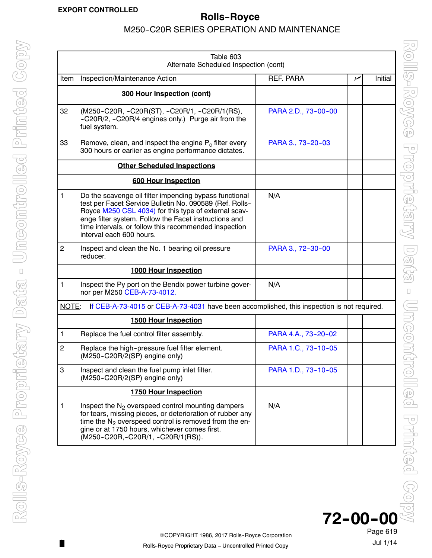1

# **Rolls--Royce**

#### M250--C20R SERIES OPERATION AND MAINTENANCE

| Table 603<br>Alternate Scheduled Inspection (cont) |                                                                                                                                                                                                                                                                                                                         |                     |     |         |
|----------------------------------------------------|-------------------------------------------------------------------------------------------------------------------------------------------------------------------------------------------------------------------------------------------------------------------------------------------------------------------------|---------------------|-----|---------|
| Item                                               | Inspection/Maintenance Action                                                                                                                                                                                                                                                                                           | <b>REF. PARA</b>    | مما | Initial |
|                                                    | 300 Hour Inspection (cont)                                                                                                                                                                                                                                                                                              |                     |     |         |
| 32                                                 | (M250-C20R, -C20R(ST), -C20R/1, -C20R/1(RS),<br>-C20R/2, -C20R/4 engines only.) Purge air from the<br>fuel system.                                                                                                                                                                                                      | PARA 2.D., 73-00-00 |     |         |
| 33                                                 | Remove, clean, and inspect the engine $P_c$ filter every<br>300 hours or earlier as engine performance dictates.                                                                                                                                                                                                        | PARA 3., 73-20-03   |     |         |
|                                                    | <b>Other Scheduled Inspections</b>                                                                                                                                                                                                                                                                                      |                     |     |         |
|                                                    | 600 Hour Inspection                                                                                                                                                                                                                                                                                                     |                     |     |         |
| $\mathbf{1}$                                       | Do the scavenge oil filter impending bypass functional<br>test per Facet Service Bulletin No. 090589 (Ref. Rolls-<br>Royce M250 CSL 4034) for this type of external scav-<br>enge filter system. Follow the Facet instructions and<br>time intervals, or follow this recommended inspection<br>interval each 600 hours. | N/A                 |     |         |
| $\overline{2}$                                     | Inspect and clean the No. 1 bearing oil pressure<br>reducer.                                                                                                                                                                                                                                                            | PARA 3., 72-30-00   |     |         |
|                                                    | 1000 Hour Inspection                                                                                                                                                                                                                                                                                                    |                     |     |         |
| $\mathbf{1}$                                       | Inspect the Py port on the Bendix power turbine gover-<br>nor per M250 CEB-A-73-4012.                                                                                                                                                                                                                                   | N/A                 |     |         |
| NOTE:                                              | If CEB-A-73-4015 or CEB-A-73-4031 have been accomplished, this inspection is not required.                                                                                                                                                                                                                              |                     |     |         |
|                                                    | 1500 Hour Inspection                                                                                                                                                                                                                                                                                                    |                     |     |         |
| $\mathbf{1}$                                       | Replace the fuel control filter assembly.                                                                                                                                                                                                                                                                               | PARA 4.A., 73-20-02 |     |         |
| $\overline{c}$                                     | Replace the high-pressure fuel filter element.<br>(M250-C20R/2(SP) engine only)                                                                                                                                                                                                                                         | PARA 1.C., 73-10-05 |     |         |
| 3                                                  | Inspect and clean the fuel pump inlet filter.<br>(M250-C20R/2(SP) engine only)                                                                                                                                                                                                                                          | PARA 1.D., 73-10-05 |     |         |
|                                                    | 1750 Hour Inspection                                                                                                                                                                                                                                                                                                    |                     |     |         |
| $\mathbf{1}$                                       | Inspect the $N2$ overspeed control mounting dampers<br>for tears, missing pieces, or deterioration of rubber any<br>time the $N2$ overspeed control is removed from the en-<br>gine or at 1750 hours, whichever comes first.<br>(M250-C20R,-C20R/1, -C20R/1(RS)).                                                       | N/A                 |     |         |

**72--00--00**